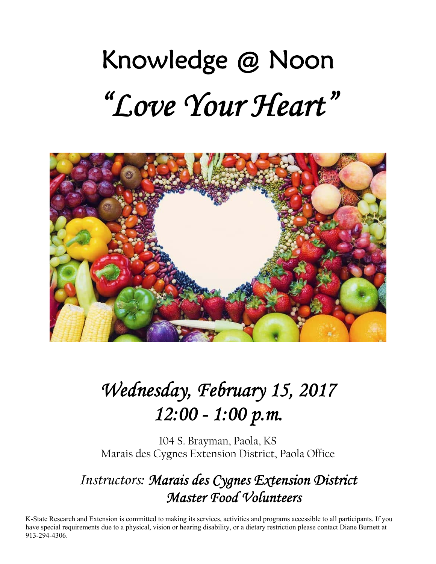# Knowledge @ Noon *"Love Your Heart"*



## *Wednesday, February 15, 2017 12:00 - 1:00 p.m.*

104 S. Brayman, Paola, KS Marais des Cygnes Extension District, Paola Office

## *Instructors: Marais des Cygnes Extension District Master Food Volunteers*

K-State Research and Extension is committed to making its services, activities and programs accessible to all participants. If you have special requirements due to a physical, vision or hearing disability, or a dietary restriction please contact Diane Burnett at 913-294-4306.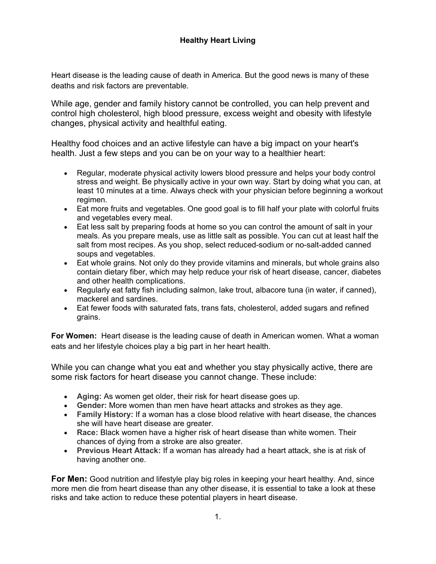#### **Healthy Heart Living**

Heart disease is the leading cause of death in America. But the good news is many of these deaths and risk factors are preventable.

While age, gender and family history cannot be controlled, you can help prevent and control high cholesterol, high blood pressure, excess weight and obesity with lifestyle changes, physical activity and healthful eating.

Healthy food choices and an active lifestyle can have a big impact on your heart's health. Just a few steps and you can be on your way to a healthier heart:

- Regular, moderate physical activity lowers blood pressure and helps your body control stress and weight. Be physically active in your own way. Start by doing what you can, at least 10 minutes at a time. Always check with your physician before beginning a workout regimen.
- Eat more fruits and vegetables. One good goal is to fill half your plate with colorful fruits and vegetables every meal.
- Eat less salt by preparing foods at home so you can control the amount of salt in your meals. As you prepare meals, use as little salt as possible. You can cut at least half the salt from most recipes. As you shop, select reduced-sodium or no-salt-added canned soups and vegetables.
- Eat whole grains. Not only do they provide vitamins and minerals, but whole grains also contain dietary fiber, which may help reduce your risk of heart disease, cancer, diabetes and other health complications.
- Regularly eat fatty fish including salmon, lake trout, albacore tuna (in water, if canned), mackerel and sardines.
- Eat fewer foods with saturated fats, trans fats, cholesterol, added sugars and refined grains.

**For Women:** Heart disease is the leading cause of death in American women. What a woman eats and her lifestyle choices play a big part in her heart health.

While you can change what you eat and whether you stay physically active, there are some risk factors for heart disease you cannot change. These include:

- **Aging:** As women get older, their risk for heart disease goes up.
- **Gender:** More women than men have heart attacks and strokes as they age.
- **Family History:** If a woman has a close blood relative with heart disease, the chances she will have heart disease are greater.
- **Race:** Black women have a higher risk of heart disease than white women. Their chances of dying from a stroke are also greater.
- **Previous Heart Attack:** If a woman has already had a heart attack, she is at risk of having another one.

**For Men:** Good nutrition and lifestyle play big roles in keeping your heart healthy. And, since more men die from heart disease than any other disease, it is essential to take a look at these risks and take action to reduce these potential players in heart disease.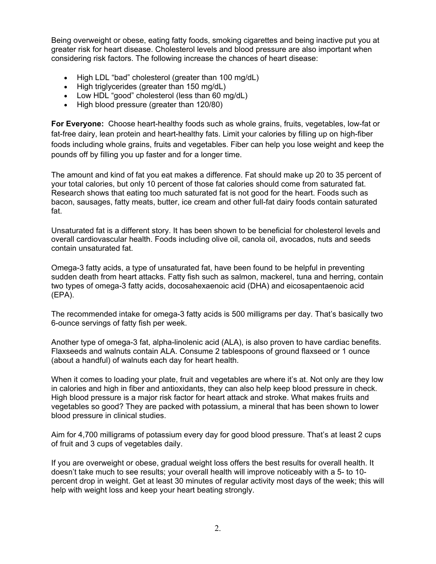Being overweight or obese, eating fatty foods, smoking cigarettes and being inactive put you at greater risk for heart disease. Cholesterol levels and blood pressure are also important when considering risk factors. The following increase the chances of heart disease:

- High LDL "bad" cholesterol (greater than 100 mg/dL)
- $\bullet$  High triglycerides (greater than 150 mg/dL)
- Low HDL "good" cholesterol (less than 60 mg/dL)
- High blood pressure (greater than 120/80)

**For Everyone:** Choose heart-healthy foods such as whole grains, fruits, vegetables, low-fat or fat-free dairy, lean protein and heart-healthy fats. Limit your calories by filling up on high-fiber foods including whole grains, fruits and vegetables. Fiber can help you lose weight and keep the pounds off by filling you up faster and for a longer time.

The amount and kind of fat you eat makes a difference. Fat should make up 20 to 35 percent of your total calories, but only 10 percent of those fat calories should come from saturated fat. Research shows that eating too much saturated fat is not good for the heart. Foods such as bacon, sausages, fatty meats, butter, ice cream and other full-fat dairy foods contain saturated fat.

Unsaturated fat is a different story. It has been shown to be beneficial for cholesterol levels and overall cardiovascular health. Foods including olive oil, canola oil, avocados, nuts and seeds contain unsaturated fat.

Omega-3 fatty acids, a type of unsaturated fat, have been found to be helpful in preventing sudden death from heart attacks. Fatty fish such as salmon, mackerel, tuna and herring, contain two types of omega-3 fatty acids, docosahexaenoic acid (DHA) and eicosapentaenoic acid (EPA).

The recommended intake for omega-3 fatty acids is 500 milligrams per day. That's basically two 6-ounce servings of fatty fish per week.

Another type of omega-3 fat, alpha-linolenic acid (ALA), is also proven to have cardiac benefits. Flaxseeds and walnuts contain ALA. Consume 2 tablespoons of ground flaxseed or 1 ounce (about a handful) of walnuts each day for heart health.

When it comes to loading your plate, fruit and vegetables are where it's at. Not only are they low in calories and high in fiber and antioxidants, they can also help keep blood pressure in check. High blood pressure is a major risk factor for heart attack and stroke. What makes fruits and vegetables so good? They are packed with potassium, a mineral that has been shown to lower blood pressure in clinical studies.

Aim for 4,700 milligrams of potassium every day for good blood pressure. That's at least 2 cups of fruit and 3 cups of vegetables daily.

If you are overweight or obese, gradual weight loss offers the best results for overall health. It doesn't take much to see results; your overall health will improve noticeably with a 5- to 10 percent drop in weight. Get at least 30 minutes of regular activity most days of the week; this will help with weight loss and keep your heart beating strongly.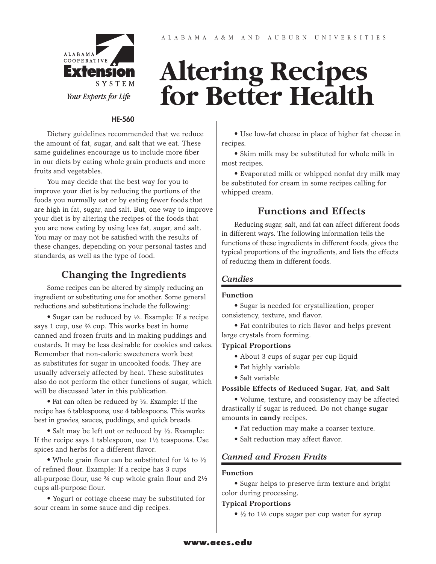

#### HE-560

Dietary guidelines recommended that we reduce the amount of fat, sugar, and salt that we eat. These same guidelines encourage us to include more fiber in our diets by eating whole grain products and more fruits and vegetables.

You may decide that the best way for you to improve your diet is by reducing the portions of the foods you normally eat or by eating fewer foods that are high in fat, sugar, and salt. But, one way to improve your diet is by altering the recipes of the foods that you are now eating by using less fat, sugar, and salt. You may or may not be satisfied with the results of these changes, depending on your personal tastes and standards, as well as the type of food.

#### **Changing the Ingredients**

Some recipes can be altered by simply reducing an ingredient or substituting one for another. Some general reductions and substitutions include the following:

• Sugar can be reduced by ⅓. Example: If a recipe says 1 cup, use ⅔ cup. This works best in home canned and frozen fruits and in making puddings and custards. It may be less desirable for cookies and cakes. Remember that non-caloric sweeteners work best as substitutes for sugar in uncooked foods. They are usually adversely affected by heat. These substitutes also do not perform the other functions of sugar, which will be discussed later in this publication.

• Fat can often be reduced by ⅓. Example: If the recipe has 6 tablespoons, use 4 tablespoons. This works best in gravies, sauces, puddings, and quick breads.

• Salt may be left out or reduced by ½. Example: If the recipe says 1 tablespoon, use 1½ teaspoons. Use spices and herbs for a different flavor.

• Whole grain flour can be substituted for 1/4 to 1/2 of refined flour. Example: If a recipe has 3 cups all-purpose flour, use ¾ cup whole grain flour and 2½ cups all-purpose flour.

• Yogurt or cottage cheese may be substituted for sour cream in some sauce and dip recipes.

## **Altering Recipes for Better Health**

• Use low-fat cheese in place of higher fat cheese in recipes.

• Skim milk may be substituted for whole milk in most recipes.

• Evaporated milk or whipped nonfat dry milk may be substituted for cream in some recipes calling for whipped cream.

#### **Functions and Effects**

Reducing sugar, salt, and fat can affect different foods in different ways. The following information tells the functions of these ingredients in different foods, gives the typical proportions of the ingredients, and lists the effects of reducing them in different foods.

#### *Candies*

#### **Function**

• Sugar is needed for crystallization, proper consistency, texture, and flavor.

• Fat contributes to rich flavor and helps prevent large crystals from forming.

#### **Typical Proportions**

- About 3 cups of sugar per cup liquid
- Fat highly variable
- Salt variable

#### **Possible Effects of Reduced Sugar, Fat, and Salt**

• Volume, texture, and consistency may be affected drastically if sugar is reduced. Do not change **sugar**  amounts in **candy** recipes.

- Fat reduction may make a coarser texture.
- Salt reduction may affect flavor.

#### *Canned and Frozen Fruits*

#### **Function**

• Sugar helps to preserve firm texture and bright color during processing.

#### **Typical Proportions**

• ½ to 1⅓ cups sugar per cup water for syrup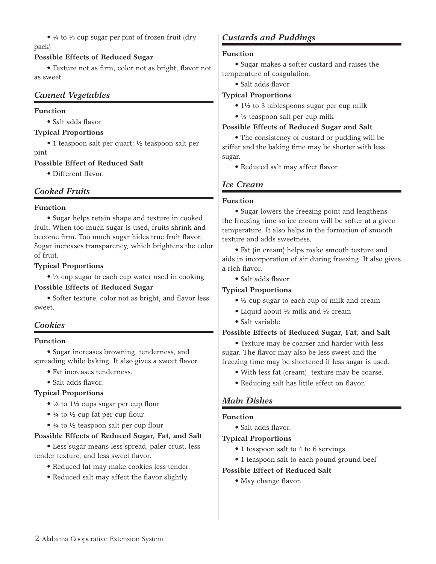• ¼ to ⅓ cup sugar per pint of frozen fruit (dry pack)

#### **Possible Effects of Reduced Sugar**

• Texture not as firm, color not as bright, flavor not as sweet.

#### *Canned Vegetables*

#### **Function**

• Salt adds flavor

#### **Typical Proportions**

• 1 teaspoon salt per quart; ½ teaspoon salt per pint

#### **Possible Effect of Reduced Salt**

• Different flavor.

#### *Cooked Fruits*

#### **Function**

• Sugar helps retain shape and texture in cooked fruit. When too much sugar is used, fruits shrink and become firm. Too much sugar hides true fruit flavor. Sugar increases transparency, which brightens the color of fruit.

#### **Typical Proportions**

• ½ cup sugar to each cup water used in cooking

#### **Possible Effects of Reduced Sugar**

• Softer texture, color not as bright, and flavor less sweet.

#### *Cookies*

#### **Function**

• Sugar increases browning, tenderness, and spreading while baking. It also gives a sweet flavor.

- Fat increases tenderness.
- Salt adds flavor.

#### **Typical Proportions**

- ⅓ to 1⅓ cups sugar per cup flour
- ¼ to ½ cup fat per cup flour
- ¼ to ½ teaspoon salt per cup flour

#### **Possible Effects of Reduced Sugar, Fat, and Salt**

• Less sugar means less spread, paler crust, less tender texture, and less sweet flavor.

- Reduced fat may make cookies less tender.
- Reduced salt may affect the flavor slightly.

#### *Custards and Puddings*

#### **Function**

• Sugar makes a softer custard and raises the temperature of coagulation.

• Salt adds flavor.

#### **Typical Proportions**

- 1½ to 3 tablespoons sugar per cup milk
- ⅛ teaspoon salt per cup milk

#### **Possible Effects of Reduced Sugar and Salt**

• The consistency of custard or pudding will be stiffer and the baking time may be shorter with less sugar.

• Reduced salt may affect flavor.

#### *Ice Cream*

#### **Function**

• Sugar lowers the freezing point and lengthens the freezing time so ice cream will be softer at a given temperature. It also helps in the formation of smooth texture and adds sweetness.

• Fat (in cream) helps make smooth texture and aids in incorporation of air during freezing. It also gives a rich flavor.

• Salt adds flavor.

#### **Typical Proportions**

- ½ cup sugar to each cup of milk and cream
- Liquid about ½ milk and ½ cream
- Salt variable

#### **Possible Effects of Reduced Sugar, Fat, and Salt**

• Texture may be coarser and harder with less sugar. The flavor may also be less sweet and the freezing time may be shortened if less sugar is used.

- With less fat (cream), texture may be coarse.
- Reducing salt has little effect on flavor.

#### *Main Dishes*

#### **Function**

• Salt adds flavor.

#### **Typical Proportions**

- 1 teaspoon salt to 4 to 6 servings
- 1 teaspoon salt to each pound ground beef

#### **Possible Effect of Reduced Salt**

• May change flavor.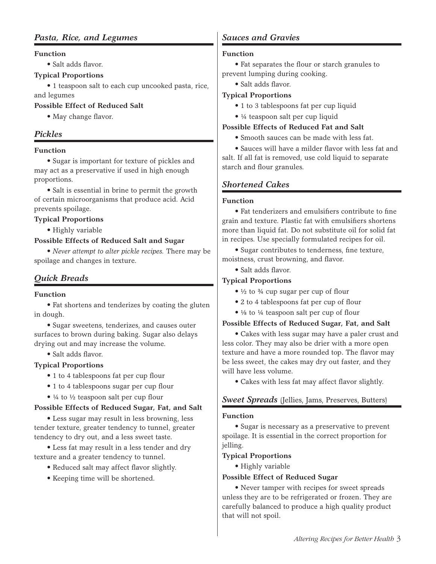#### *Pasta, Rice, and Legumes*

#### **Function**

• Salt adds flavor.

#### **Typical Proportions**

• 1 teaspoon salt to each cup uncooked pasta, rice, and legumes

#### **Possible Effect of Reduced Salt**

• May change flavor.

#### *Pickles*

#### **Function**

• Sugar is important for texture of pickles and may act as a preservative if used in high enough proportions.

• Salt is essential in brine to permit the growth of certain microorganisms that produce acid. Acid prevents spoilage.

#### **Typical Proportions**

• Highly variable

#### **Possible Effects of Reduced Salt and Sugar**

• *Never attempt to alter pickle recipes.* There may be spoilage and changes in texture.

#### *Quick Breads*

#### **Function**

• Fat shortens and tenderizes by coating the gluten in dough.

• Sugar sweetens, tenderizes, and causes outer surfaces to brown during baking. Sugar also delays drying out and may increase the volume.

• Salt adds flavor.

#### **Typical Proportions**

- 1 to 4 tablespoons fat per cup flour
- 1 to 4 tablespoons sugar per cup flour
- ¼ to ½ teaspoon salt per cup flour

#### **Possible Effects of Reduced Sugar, Fat, and Salt**

• Less sugar may result in less browning, less tender texture, greater tendency to tunnel, greater tendency to dry out, and a less sweet taste.

• Less fat may result in a less tender and dry texture and a greater tendency to tunnel.

- Reduced salt may affect flavor slightly.
- Keeping time will be shortened.

#### *Sauces and Gravies*

#### **Function**

• Fat separates the flour or starch granules to prevent lumping during cooking.

• Salt adds flavor.

#### **Typical Proportions**

- 1 to 3 tablespoons fat per cup liquid
- ¼ teaspoon salt per cup liquid

#### **Possible Effects of Reduced Fat and Salt**

• Smooth sauces can be made with less fat.

• Sauces will have a milder flavor with less fat and salt. If all fat is removed, use cold liquid to separate starch and flour granules.

#### *Shortened Cakes*

#### **Function**

• Fat tenderizers and emulsifiers contribute to fine grain and texture. Plastic fat with emulsifiers shortens more than liquid fat. Do not substitute oil for solid fat in recipes. Use specially formulated recipes for oil.

• Sugar contributes to tenderness, fine texture, moistness, crust browning, and flavor.

• Salt adds flavor.

#### **Typical Proportions**

- $\bullet$  ½ to ¼ cup sugar per cup of flour
- 2 to 4 tablespoons fat per cup of flour
- ⅛ to ¼ teaspoon salt per cup of flour

#### **Possible Effects of Reduced Sugar, Fat, and Salt**

• Cakes with less sugar may have a paler crust and less color. They may also be drier with a more open texture and have a more rounded top. The flavor may be less sweet, the cakes may dry out faster, and they will have less volume.

• Cakes with less fat may affect flavor slightly.

#### *Sweet Spreads* (Jellies, Jams, Preserves, Butters)

#### **Function**

• Sugar is necessary as a preservative to prevent spoilage. It is essential in the correct proportion for jelling.

#### **Typical Proportions**

• Highly variable

#### **Possible Effect of Reduced Sugar**

• Never tamper with recipes for sweet spreads unless they are to be refrigerated or frozen. They are carefully balanced to produce a high quality product that will not spoil.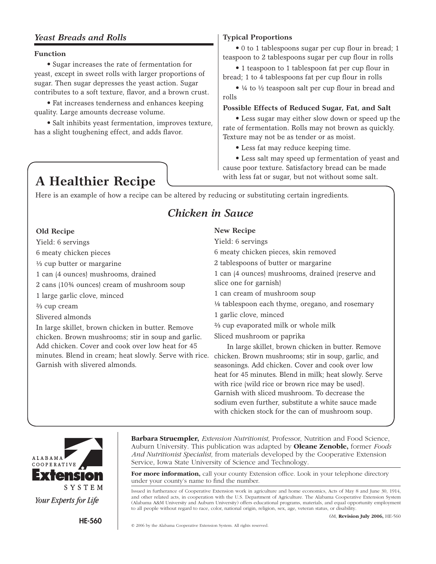#### *Yeast Breads and Rolls*

#### **Function**

• Sugar increases the rate of fermentation for yeast, except in sweet rolls with larger proportions of sugar. Then sugar depresses the yeast action. Sugar contributes to a soft texture, flavor, and a brown crust.

• Fat increases tenderness and enhances keeping quality. Large amounts decrease volume.

• Salt inhibits yeast fermentation, improves texture, has a slight toughening effect, and adds flavor.

## A Healthier Recipe with less fat or sugar, but not without some salt.

#### **Typical Proportions**

• 0 to 1 tablespoons sugar per cup flour in bread; 1 teaspoon to 2 tablespoons sugar per cup flour in rolls

• 1 teaspoon to 1 tablespoon fat per cup flour in bread; 1 to 4 tablespoons fat per cup flour in rolls

• ¼ to ½ teaspoon salt per cup flour in bread and rolls

#### **Possible Effects of Reduced Sugar, Fat, and Salt**

• Less sugar may either slow down or speed up the rate of fermentation. Rolls may not brown as quickly. Texture may not be as tender or as moist.

• Less fat may reduce keeping time.

• Less salt may speed up fermentation of yeast and cause poor texture. Satisfactory bread can be made

Here is an example of how a recipe can be altered by reducing or substituting certain ingredients.

#### *Chicken in Sauce*

#### **Old Recipe**

Yield: 6 servings 6 meaty chicken pieces ⅓ cup butter or margarine 1 can (4 ounces) mushrooms, drained 2 cans (10¾ ounces) cream of mushroom soup 1 large garlic clove, minced ⅔ cup cream Slivered almonds In large skillet, brown chicken in butter. Remove chicken. Brown mushrooms; stir in soup and garlic. Add chicken. Cover and cook over low heat for 45

#### **New Recipe**

minutes. Blend in cream; heat slowly. Serve with rice. chicken. Brown mushrooms; stir in soup, garlic, and Yield: 6 servings 6 meaty chicken pieces, skin removed 2 tablespoons of butter or margarine 1 can (4 ounces) mushrooms, drained (reserve and slice one for garnish) 1 can cream of mushroom soup ⅛ tablespoon each thyme, oregano, and rosemary 1 garlic clove, minced ⅔ cup evaporated milk or whole milk Sliced mushroom or paprika In large skillet, brown chicken in butter. Remove seasonings. Add chicken. Cover and cook over low heat for 45 minutes. Blend in milk; heat slowly. Serve

with rice (wild rice or brown rice may be used). Garnish with sliced mushroom. To decrease the sodium even further, substitute a white sauce made with chicken stock for the can of mushroom soup.



**Barbara Struempler,** *Extension Nutritionist,* Professor, Nutrition and Food Science, Auburn University. This publication was adapted by **Oleane Zenoble,** former *Foods And Nutritionist Specialist,* from materials developed by the Cooperative Extension Service, Iowa State University of Science and Technology.

For more information, call your county Extension office. Look in your telephone directory under your county's name to find the number.

Issued in furtherance of Cooperative Extension work in agriculture and home economics, Acts of May 8 and June 30, 1914, and other related acts, in cooperation with the U.S. Department of Agriculture. The Alabama Cooperative Extension System (Alabama A&M University and Auburn University) offers educational programs, materials, and equal opportunity employment to all people without regard to race, color, national origin, religion, sex, age, veteran status, or disability.

Garnish with slivered almonds.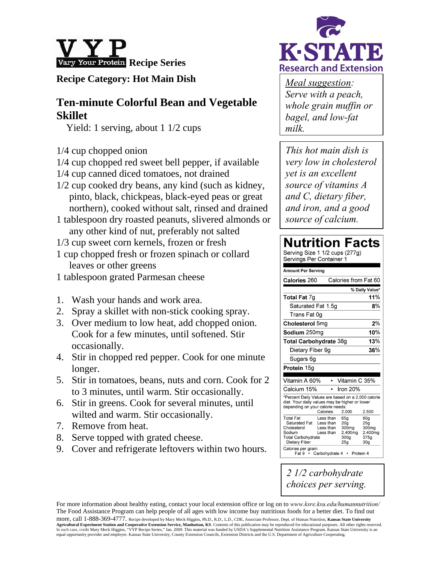

#### **Recipe Category: Hot Main Dish**

## **Ten-minute Colorful Bean and Vegetable Skillet**

Yield: 1 serving, about 1 1/2 cups

- 1/4 cup chopped onion
- 1/4 cup chopped red sweet bell pepper, if available
- 1/4 cup canned diced tomatoes, not drained
- 1/2 cup cooked dry beans, any kind (such as kidney, pinto, black, chickpeas, black-eyed peas or great northern), cooked without salt, rinsed and drained
- 1 tablespoon dry roasted peanuts, slivered almonds or any other kind of nut, preferably not salted
- 1/3 cup sweet corn kernels, frozen or fresh
- 1 cup chopped fresh or frozen spinach or collard leaves or other greens
- 1 tablespoon grated Parmesan cheese
- 1. Wash your hands and work area.
- 2. Spray a skillet with non-stick cooking spray.
- 3. Over medium to low heat, add chopped onion. Cook for a few minutes, until softened. Stir occasionally.
- 4. Stir in chopped red pepper. Cook for one minute longer.
- 5. Stir in tomatoes, beans, nuts and corn. Cook for 2 to 3 minutes, until warm. Stir occasionally.
- 6. Stir in greens. Cook for several minutes, until wilted and warm. Stir occasionally.
- 7. Remove from heat.
- 8. Serve topped with grated cheese.
- 9. Cover and refrigerate leftovers within two hours.



*Meal suggestion: Serve with a peach, whole grain muffin or bagel, and low-fat milk.*

*This hot main dish is very low in cholesterol yet is an excellent source of vitamins A and C, dietary fiber, and iron, and a good source of calcium.* 

## **Nutrition Facts**

| Serving Size 1 1/2 cups (2//g)<br>Servings Per Container 1                                                                                                                                            |                                                                                                                                                                                     |  |
|-------------------------------------------------------------------------------------------------------------------------------------------------------------------------------------------------------|-------------------------------------------------------------------------------------------------------------------------------------------------------------------------------------|--|
| Amount Per Serving                                                                                                                                                                                    |                                                                                                                                                                                     |  |
| Calories 260                                                                                                                                                                                          | Calories from Fat 60                                                                                                                                                                |  |
|                                                                                                                                                                                                       | % Daily Value*                                                                                                                                                                      |  |
| <b>Total Fat 7g</b>                                                                                                                                                                                   | 11%                                                                                                                                                                                 |  |
| Saturated Fat 1.5q                                                                                                                                                                                    | 8%                                                                                                                                                                                  |  |
| Trans Fat 0q                                                                                                                                                                                          |                                                                                                                                                                                     |  |
| Cholesterol 5mg                                                                                                                                                                                       | 2%                                                                                                                                                                                  |  |
| 10%<br>Sodium 250mg                                                                                                                                                                                   |                                                                                                                                                                                     |  |
| Total Carbohydrate 38g                                                                                                                                                                                | 13%                                                                                                                                                                                 |  |
| Dietary Fiber 9q                                                                                                                                                                                      | 36%                                                                                                                                                                                 |  |
| Sugars 6g                                                                                                                                                                                             |                                                                                                                                                                                     |  |
| <b>Protein 15g</b>                                                                                                                                                                                    |                                                                                                                                                                                     |  |
| Vitamin A 60%                                                                                                                                                                                         | Vitamin C 35%                                                                                                                                                                       |  |
| Calcium 15%<br>٠                                                                                                                                                                                      | Iron 20%                                                                                                                                                                            |  |
| *Percent Daily Values are based on a 2,000 calorie<br>diet. Your daily values may be higher or lower<br>depending on your calorie needs:<br>Calories:<br>2.500<br>2,000                               |                                                                                                                                                                                     |  |
| <b>Total Fat</b><br>Less than<br>Saturated Fat<br>Less than<br>Cholesterol<br>Less than<br>Sodium<br>Less than<br>Total Carbohydrate<br>Dietary Fiber<br>Calories per gram:<br>Fat 9 • Carbohydrate 4 | 65g<br>80 <sub>g</sub><br>20 <sub>g</sub><br>25g<br>300 <sub>mg</sub><br>300mg<br>2,400mg<br>2,400mg<br>300 <sub>q</sub><br>375q<br>25 <sub>q</sub><br>30 <sub>q</sub><br>Protein 4 |  |

*2 1/2 carbohydrate choices per serving.* 

For more information about healthy eating, contact your local extension office or log on to *www.ksre.ksu.edu/humannutrition/* The Food Assistance Program can help people of all ages with low income buy nutritious foods for a better diet. To find out more, call 1-888-369-4777. Recipe developed by Mary Meck Higgins, Ph.D., R.D., L.D., CDE, Associate Professor, Dept. of Human Nutrition, **Kansas State University Agricultural Experiment Station and Cooperative Extension Service, Manhattan, KS**. Contents of this publication may be reproduced for educational purposes. All other rights reserved. In each case, credit Mary Meck Higgins, "VYP Recipe Series," Jan. 2009. This material was funded by USDA's Supplemental Nutrition Assistance Program. Kansas State University is an

equal opportunity provider and employer. Kansas State University, County Extension Councils, Extension Districts and the U.S. Department of Agriculture Cooperating.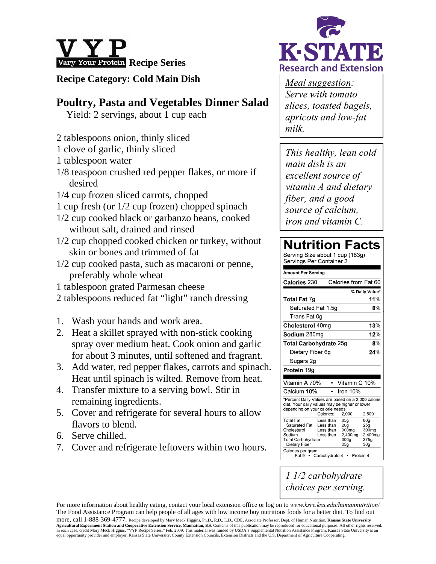

#### **Recipe Category: Cold Main Dish**

### **Poultry, Pasta and Vegetables Dinner Salad**

Yield: 2 servings, about 1 cup each

- 2 tablespoons onion, thinly sliced
- 1 clove of garlic, thinly sliced
- 1 tablespoon water
- 1/8 teaspoon crushed red pepper flakes, or more if desired
- 1/4 cup frozen sliced carrots, chopped
- 1 cup fresh (or 1/2 cup frozen) chopped spinach
- 1/2 cup cooked black or garbanzo beans, cooked without salt, drained and rinsed
- 1/2 cup chopped cooked chicken or turkey, without skin or bones and trimmed of fat
- 1/2 cup cooked pasta, such as macaroni or penne, preferably whole wheat
- 1 tablespoon grated Parmesan cheese
- 2 tablespoons reduced fat "light" ranch dressing
- 1. Wash your hands and work area.
- 2. Heat a skillet sprayed with non-stick cooking spray over medium heat. Cook onion and garlic for about 3 minutes, until softened and fragrant.
- 3. Add water, red pepper flakes, carrots and spinach. Heat until spinach is wilted. Remove from heat.
- 4. Transfer mixture to a serving bowl. Stir in remaining ingredients.
- 5. Cover and refrigerate for several hours to allow flavors to blend.
- 6. Serve chilled.
- 7. Cover and refrigerate leftovers within two hours.



*Meal suggestion: Serve with tomato slices, toasted bagels, apricots and low-fat milk.* 

*This healthy, lean cold main dish is an excellent source of vitamin A and dietary fiber, and a good source of calcium, iron and vitamin C.* 

### **Nutrition Facts**

Serving Size about 1 cup (183g) Servings Per Container 2 Amount Per Serving Calories 230 Calories from Fat 60 % Daily Value\* Total Fat 7g 11% Saturated Fat 1.5g  $8%$ Trans Fat 0q Cholesterol 40mg  $13%$ Sodium 280mg 12% **Total Carbohydrate 25g**  $R%$ Dietary Fiber 6g 24% Sugars 2g Protein 19g Vitamin A 70% • Vitamin C 10% Calcium 10% Iron 10% -<br>\*Percent Daily Values are based on a 2,000 calorie diet. Your daily values may be higher or lower depending on your calorie needs: Calories: 2,000 2.500  $65g$ **Total Fat** Less than 80g Saturated Fat  $20<sub>g</sub>$  $25g$ Less than Cholesterol  $\frac{209}{300}$  $300<sub>mg</sub>$ Less than  $2,400$ mg 2,400mg Sodium Less than Total Carbohydrate  $300<sub>g</sub>$  $375g$ **Dietary Fiber**  $25<sub>a</sub>$  $30<sub>q</sub>$ Calories per gram: Fat 9 · Carbohydrate 4 · Protein 4

*1 1/2 carbohydrate choices per serving.* 

For more information about healthy eating, contact your local extension office or log on to *www.ksre.ksu.edu/humannutrition/* The Food Assistance Program can help people of all ages with low income buy nutritious foods for a better diet. To find out more, call 1-888-369-4777. Recipe developed by Mary Meck Higgins, Ph.D., R.D., L.D., CDE, Associate Professor, Dept. of Human Nutrition, **Kansas State University**  Agricultural Experiment Station and Cooperative Extension Service, Manhattan, KS. Contents of this publication may be reproduced for educational purposes. All other rights reserved.<br>In each case, credit Mary Meck Higgins, equal opportunity provider and employer. Kansas State University, County Extension Councils, Extension Districts and the U.S. Department of Agriculture Cooperating.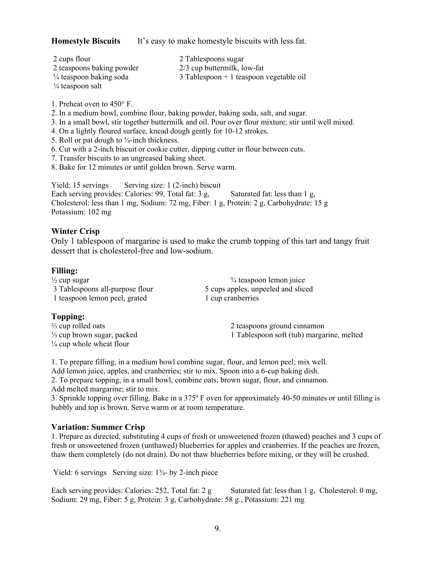**Homestyle Biscuits** It's easy to make homestyle biscuits with less fat.

| 2 cups flour                       | 2 Tablespoons sugar                       |
|------------------------------------|-------------------------------------------|
| 2 teaspoons baking powder          | 2/3 cup buttermilk, low-fat               |
| $\frac{1}{4}$ teaspoon baking soda | $3$ Tablespoon + 1 teaspoon vegetable oil |
|                                    |                                           |

¼ teaspoon salt

1. Preheat oven to 450° F.

- 2. In a medium bowl, combine flour, baking powder, baking soda, salt, and sugar.
- 3. In a small bowl, stir together buttermilk and oil. Pour over flour mixture; stir until well mixed.
- 4. On a lightly floured surface, knead dough gently for 10-12 strokes.
- 5. Roll or pat dough to  $\frac{3}{4}$ -inch thickness.
- 6. Cut with a 2-inch biscuit or cookie cutter, dipping cutter in flour between cuts.
- 7. Transfer biscuits to an ungreased baking sheet.
- 8. Bake for 12 minutes or until golden brown. Serve warm.

Yield: 15 servings Serving size: 1 (2-inch) biscuit Each serving provides: Calories: 99, Total fat:  $3 g$ , Saturated fat: less than 1 g, Cholesterol: less than 1 mg, Sodium: 72 mg, Fiber: 1 g, Protein: 2 g, Carbohydrate: 15 g Potassium: 102 mg

#### **Winter Crisp**

Only 1 tablespoon of margarine is used to make the crumb topping of this tart and tangy fruit dessert that is cholesterol-free and low-sodium.

#### **Filling:**

 $\frac{3}{4}$  teaspoon lemon juice 3 Tablespoons all-purpose flour 5 cups apples, unpeeled and sliced 1 teaspoon lemon peel, grated 1 cup cranberries

#### **Topping:**

¼ cup whole wheat flour

 $\frac{2}{3}$  cup rolled oats 2 teaspoons ground cinnamon ⅓ cup brown sugar, packed 1 Tablespoon soft (tub) margarine, melted

1. To prepare filling, in a medium bowl combine sugar, flour, and lemon peel; mix well. Add lemon juice, apples, and cranberries; stir to mix. Spoon into a 6-cup baking dish.

2. To prepare topping, in a small bowl, combine oats, brown sugar, flour, and cinnamon.

Add melted margarine; stir to mix.

3. Sprinkle topping over filling. Bake in a 375º F oven for approximately 40-50 minutes or until filling is bubbly and top is brown. Serve warm or at room temperature.

#### **Variation: Summer Crisp**

1. Prepare as directed, substituting 4 cups of fresh or unsweetened frozen (thawed) peaches and 3 cups of fresh or unsweetened frozen (unthawed) blueberries for apples and cranberries. If the peaches are frozen, thaw them completely (do not drain). Do not thaw blueberries before mixing, or they will be crushed.

Yield: 6 servings Serving size: 1<sup>3</sup>/<sub>4</sub>- by 2-inch piece

Each serving provides: Calories: 252, Total fat: 2 g Saturated fat: less than 1 g, Cholesterol: 0 mg, Sodium: 29 mg, Fiber: 5 g, Protein: 3 g, Carbohydrate: 58 g., Potassium: 221 mg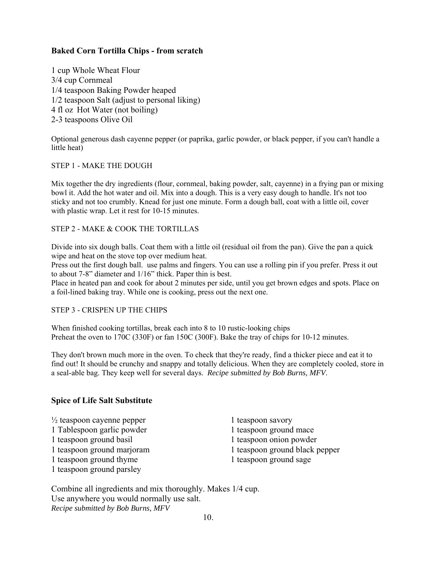#### **Baked Corn Tortilla Chips - from scratch**

1 cup Whole Wheat Flour 3/4 cup Cornmeal 1/4 teaspoon Baking Powder heaped 1/2 teaspoon Salt (adjust to personal liking) 4 fl oz Hot Water (not boiling) 2-3 teaspoons Olive Oil

Optional generous dash cayenne pepper (or paprika, garlic powder, or black pepper, if you can't handle a little heat)

#### STEP 1 - MAKE THE DOUGH

Mix together the dry ingredients (flour, cornmeal, baking powder, salt, cayenne) in a frying pan or mixing bowl it. Add the hot water and oil. Mix into a dough. This is a very easy dough to handle. It's not too sticky and not too crumbly. Knead for just one minute. Form a dough ball, coat with a little oil, cover with plastic wrap. Let it rest for 10-15 minutes.

#### STEP 2 - MAKE & COOK THE TORTILLAS

Divide into six dough balls. Coat them with a little oil (residual oil from the pan). Give the pan a quick wipe and heat on the stove top over medium heat.

Press out the first dough ball. use palms and fingers. You can use a rolling pin if you prefer. Press it out to about 7-8" diameter and 1/16" thick. Paper thin is best.

Place in heated pan and cook for about 2 minutes per side, until you get brown edges and spots. Place on a foil-lined baking tray. While one is cooking, press out the next one.

#### STEP 3 - CRISPEN UP THE CHIPS

When finished cooking tortillas, break each into 8 to 10 rustic-looking chips Preheat the oven to 170C (330F) or fan 150C (300F). Bake the tray of chips for 10-12 minutes.

They don't brown much more in the oven. To check that they're ready, find a thicker piece and eat it to find out! It should be crunchy and snappy and totally delicious. When they are completely cooled, store in a seal-able bag. They keep well for several days. *Recipe submitted by Bob Burns, MFV*.

#### **Spice of Life Salt Substitute**

- $\frac{1}{2}$  teaspoon cayenne pepper 1 teaspoon savory 1 Tablespoon garlic powder 1 teaspoon ground mace 1 teaspoon ground basil 1 teaspoon onion powder 1 teaspoon ground thyme 1 teaspoon ground sage
- 1 teaspoon ground parsley
- 1 teaspoon ground marjoram 1 teaspoon ground black pepper

Combine all ingredients and mix thoroughly. Makes 1/4 cup. Use anywhere you would normally use salt. *Recipe submitted by Bob Burns, MFV*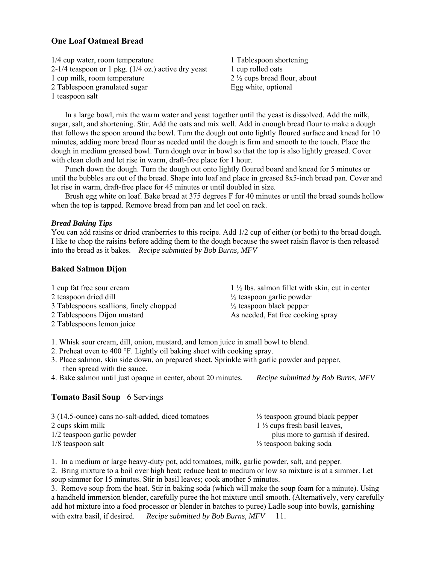#### **One Loaf Oatmeal Bread**

1/4 cup water, room temperature 1 Tablespoon shortening 2-1/4 teaspoon or 1 pkg.  $(1/4 \text{ oz.})$  active dry yeast 1 cup rolled oats 1 cup milk, room temperature 2 ½ cups bread flour, about 2 Tablespoon granulated sugar Egg white, optional 1 teaspoon salt

 In a large bowl, mix the warm water and yeast together until the yeast is dissolved. Add the milk, sugar, salt, and shortening. Stir. Add the oats and mix well. Add in enough bread flour to make a dough that follows the spoon around the bowl. Turn the dough out onto lightly floured surface and knead for 10 minutes, adding more bread flour as needed until the dough is firm and smooth to the touch. Place the dough in medium greased bowl. Turn dough over in bowl so that the top is also lightly greased. Cover with clean cloth and let rise in warm, draft-free place for 1 hour.

 Punch down the dough. Turn the dough out onto lightly floured board and knead for 5 minutes or until the bubbles are out of the bread. Shape into loaf and place in greased 8x5-inch bread pan. Cover and let rise in warm, draft-free place for 45 minutes or until doubled in size.

 Brush egg white on loaf. Bake bread at 375 degrees F for 40 minutes or until the bread sounds hollow when the top is tapped. Remove bread from pan and let cool on rack.

#### *Bread Baking Tips*

You can add raisins or dried cranberries to this recipe. Add  $1/2$  cup of either (or both) to the bread dough. I like to chop the raisins before adding them to the dough because the sweet raisin flavor is then released into the bread as it bakes. *Recipe submitted by Bob Burns, MFV*

#### **Baked Salmon Dijon**

| 1 cup fat free sour cream               | $1\frac{1}{2}$ lbs. salmon fillet with skin, cut in center |
|-----------------------------------------|------------------------------------------------------------|
| 2 teaspoon dried dill                   | $\frac{1}{2}$ teaspoon garlic powder                       |
| 3 Tablespoons scallions, finely chopped | $\frac{1}{2}$ teaspoon black pepper                        |
| 2 Tablespoons Dijon mustard             | As needed, Fat free cooking spray                          |
| 2 Tablespoons lemon juice               |                                                            |
|                                         |                                                            |

1. Whisk sour cream, dill, onion, mustard, and lemon juice in small bowl to blend.

- 2. Preheat oven to 400 °F. Lightly oil baking sheet with cooking spray.
- 3. Place salmon, skin side down, on prepared sheet. Sprinkle with garlic powder and pepper, then spread with the sauce.

4. Bake salmon until just opaque in center, about 20 minutes. *Recipe submitted by Bob Burns, MFV*

#### **Tomato Basil Soup** 6 Servings

| 3 (14.5-ounce) cans no-salt-added, diced tomatoes | $\frac{1}{2}$ teaspoon ground black pepper |
|---------------------------------------------------|--------------------------------------------|
| 2 cups skim milk                                  | $1\frac{1}{2}$ cups fresh basil leaves,    |
| 1/2 teaspoon garlic powder                        | plus more to garnish if desired.           |
| $1/8$ teaspoon salt                               | $\frac{1}{2}$ teaspoon baking soda         |

1. In a medium or large heavy-duty pot, add tomatoes, milk, garlic powder, salt, and pepper.

2. Bring mixture to a boil over high heat; reduce heat to medium or low so mixture is at a simmer. Let soup simmer for 15 minutes. Stir in basil leaves; cook another 5 minutes.

3. Remove soup from the heat. Stir in baking soda (which will make the soup foam for a minute). Using a handheld immersion blender, carefully puree the hot mixture until smooth. (Alternatively, very carefully add hot mixture into a food processor or blender in batches to puree) Ladle soup into bowls, garnishing with extra basil, if desired. *Recipe submitted by Bob Burns, MFV* 11.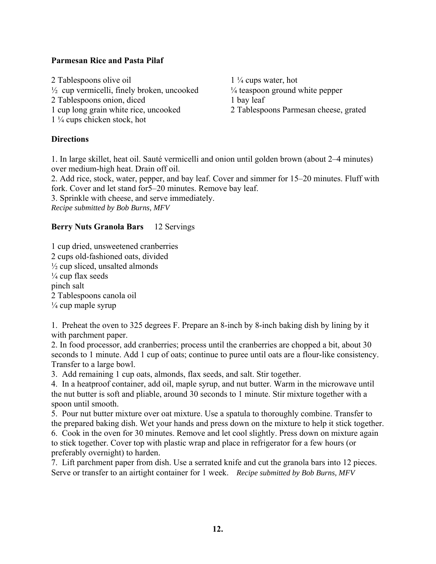#### **Parmesan Rice and Pasta Pilaf**

2 Tablespoons olive oil 1 <sup>1</sup>/<sub>4</sub> cups water, hot  $\frac{1}{2}$  cup vermicelli, finely broken, uncooked  $\frac{1}{4}$  teaspoon ground white pepper 2 Tablespoons onion, diced 1 bay leaf 1 cup long grain white rice, uncooked 2 Tablespoons Parmesan cheese, grated 1 ¼ cups chicken stock, hot

#### **Directions**

1. In large skillet, heat oil. Sauté vermicelli and onion until golden brown (about 2–4 minutes) over medium-high heat. Drain off oil.

2. Add rice, stock, water, pepper, and bay leaf. Cover and simmer for 15–20 minutes. Fluff with fork. Cover and let stand for5–20 minutes. Remove bay leaf.

3. Sprinkle with cheese, and serve immediately.

*Recipe submitted by Bob Burns, MFV*

#### **Berry Nuts Granola Bars** 12 Servings

1 cup dried, unsweetened cranberries 2 cups old-fashioned oats, divided  $\frac{1}{2}$  cup sliced, unsalted almonds  $\frac{1}{4}$  cup flax seeds pinch salt 2 Tablespoons canola oil  $\frac{1}{4}$  cup maple syrup

1. Preheat the oven to 325 degrees F. Prepare an 8-inch by 8-inch baking dish by lining by it with parchment paper.

2. In food processor, add cranberries; process until the cranberries are chopped a bit, about 30 seconds to 1 minute. Add 1 cup of oats; continue to puree until oats are a flour-like consistency. Transfer to a large bowl.

3. Add remaining 1 cup oats, almonds, flax seeds, and salt. Stir together.

4. In a heatproof container, add oil, maple syrup, and nut butter. Warm in the microwave until the nut butter is soft and pliable, around 30 seconds to 1 minute. Stir mixture together with a spoon until smooth.

5. Pour nut butter mixture over oat mixture. Use a spatula to thoroughly combine. Transfer to the prepared baking dish. Wet your hands and press down on the mixture to help it stick together. 6. Cook in the oven for 30 minutes. Remove and let cool slightly. Press down on mixture again to stick together. Cover top with plastic wrap and place in refrigerator for a few hours (or preferably overnight) to harden.

7. Lift parchment paper from dish. Use a serrated knife and cut the granola bars into 12 pieces. Serve or transfer to an airtight container for 1 week. *Recipe submitted by Bob Burns, MFV*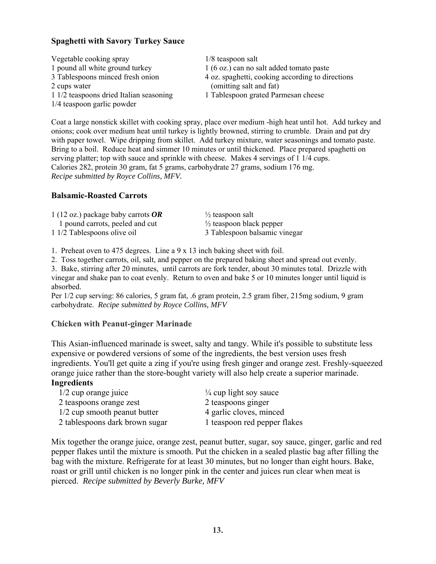#### **Spaghetti with Savory Turkey Sauce**

| Vegetable cooking spray                 | $1/8$ teaspoon salt                              |
|-----------------------------------------|--------------------------------------------------|
| 1 pound all white ground turkey         | 1 (6 oz.) can no salt added tomato paste         |
| 3 Tablespoons minced fresh onion        | 4 oz. spaghetti, cooking according to directions |
| 2 cups water                            | (omitting salt and fat)                          |
| 1 1/2 teaspoons dried Italian seasoning | 1 Tablespoon grated Parmesan cheese              |
| 1/4 teaspoon garlic powder              |                                                  |

Coat a large nonstick skillet with cooking spray, place over medium -high heat until hot. Add turkey and onions; cook over medium heat until turkey is lightly browned, stirring to crumble. Drain and pat dry with paper towel. Wipe dripping from skillet. Add turkey mixture, water seasonings and tomato paste. Bring to a boil. Reduce heat and simmer 10 minutes or until thickened. Place prepared spaghetti on serving platter; top with sauce and sprinkle with cheese. Makes 4 servings of 1 1/4 cups. Calories 282, protein 30 gram, fat 5 grams, carbohydrate 27 grams, sodium 176 mg. *Recipe submitted by Royce Collins, MFV.* 

#### **Balsamic-Roasted Carrots**

| 1 (12 oz.) package baby carrots $OR$ | $\frac{1}{2}$ teaspoon salt         |
|--------------------------------------|-------------------------------------|
| 1 pound carrots, peeled and cut      | $\frac{1}{2}$ teaspoon black pepper |
| 1 1/2 Tablespoons olive oil          | 3 Tablespoon balsamic vinegar       |

1. Preheat oven to 475 degrees. Line a 9 x 13 inch baking sheet with foil.

2. Toss together carrots, oil, salt, and pepper on the prepared baking sheet and spread out evenly.

3. Bake, stirring after 20 minutes, until carrots are fork tender, about 30 minutes total. Drizzle with vinegar and shake pan to coat evenly. Return to oven and bake 5 or 10 minutes longer until liquid is absorbed.

Per 1/2 cup serving: 86 calories, 5 gram fat, .6 gram protein, 2.5 gram fiber, 215mg sodium, 9 gram carbohydrate. *Recipe submitted by Royce Collins, MFV* 

#### **Chicken with Peanut-ginger Marinade**

This Asian-influenced marinade is sweet, salty and tangy. While it's possible to substitute less expensive or powdered versions of some of the ingredients, the best version uses fresh ingredients. You'll get quite a zing if you're using fresh ginger and orange zest. Freshly-squeezed orange juice rather than the store-bought variety will also help create a superior marinade.

#### **Ingredients**

| $1/2$ cup orange juice         | $\frac{1}{4}$ cup light soy sauce |
|--------------------------------|-----------------------------------|
| 2 teaspoons orange zest        | 2 teaspoons ginger                |
| 1/2 cup smooth peanut butter   | 4 garlic cloves, minced           |
| 2 tablespoons dark brown sugar | 1 teaspoon red pepper flakes      |

Mix together the orange juice, orange zest, peanut butter, sugar, soy sauce, ginger, garlic and red pepper flakes until the mixture is smooth. Put the chicken in a sealed plastic bag after filling the bag with the mixture. Refrigerate for at least 30 minutes, but no longer than eight hours. Bake, roast or grill until chicken is no longer pink in the center and juices run clear when meat is pierced. *Recipe submitted by Beverly Burke, MFV*